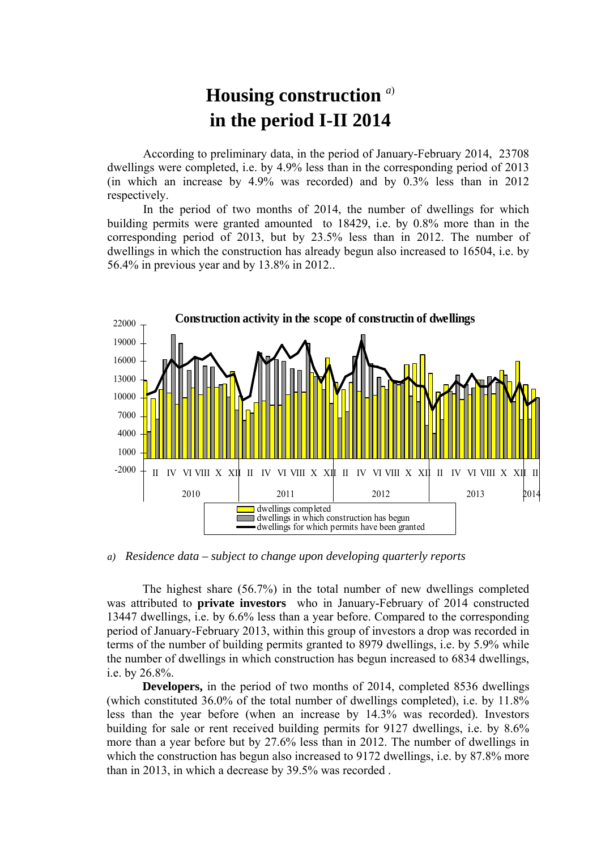## **Housing construction** *<sup>a</sup>*) **in the period I-II 2014**

According to preliminary data, in the period of January-February 2014, 23708 dwellings were completed, i.e. by 4.9% less than in the corresponding period of 2013 (in which an increase by 4.9% was recorded) and by 0.3% less than in 2012 respectively.

In the period of two months of 2014, the number of dwellings for which building permits were granted amounted to 18429, i.e. by 0.8% more than in the corresponding period of 2013, but by 23.5% less than in 2012. The number of dwellings in which the construction has already begun also increased to 16504, i.e. by 56.4% in previous year and by 13.8% in 2012..



*a) Residence data – subject to change upon developing quarterly reports*

The highest share (56.7%) in the total number of new dwellings completed was attributed to **private investors** who in January-February of 2014 constructed 13447 dwellings, i.e. by 6.6% less than a year before. Compared to the corresponding period of January-February 2013, within this group of investors a drop was recorded in terms of the number of building permits granted to 8979 dwellings, i.e. by 5.9% while the number of dwellings in which construction has begun increased to 6834 dwellings, i.e. by 26.8%.

**Developers,** in the period of two months of 2014, completed 8536 dwellings (which constituted 36.0% of the total number of dwellings completed), i.e. by 11.8% less than the year before (when an increase by 14.3% was recorded). Investors building for sale or rent received building permits for 9127 dwellings, i.e. by 8.6% more than a year before but by 27.6% less than in 2012. The number of dwellings in which the construction has begun also increased to 9172 dwellings, i.e. by 87.8% more than in 2013, in which a decrease by 39.5% was recorded .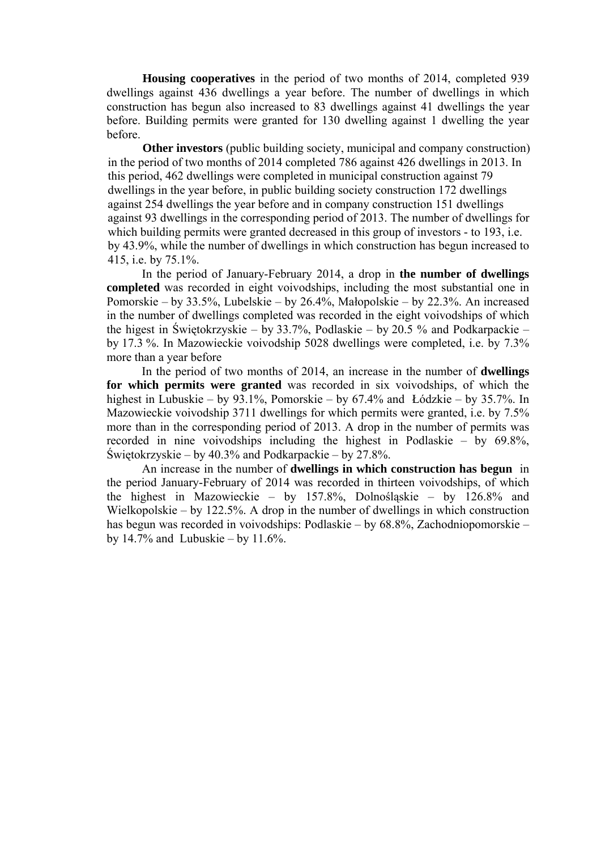**Housing cooperatives** in the period of two months of 2014, completed 939 dwellings against 436 dwellings a year before. The number of dwellings in which construction has begun also increased to 83 dwellings against 41 dwellings the year before. Building permits were granted for 130 dwelling against 1 dwelling the year before.

**Other investors** (public building society, municipal and company construction) in the period of two months of 2014 completed 786 against 426 dwellings in 2013. In this period, 462 dwellings were completed in municipal construction against 79 dwellings in the year before, in public building society construction 172 dwellings against 254 dwellings the year before and in company construction 151 dwellings against 93 dwellings in the corresponding period of 2013. The number of dwellings for which building permits were granted decreased in this group of investors - to 193, i.e. by 43.9%, while the number of dwellings in which construction has begun increased to 415, i.e. by 75.1%.

In the period of January-February 2014, a drop in **the number of dwellings completed** was recorded in eight voivodships, including the most substantial one in Pomorskie – by 33.5%, Lubelskie – by 26.4%, Małopolskie – by 22.3%. An increased in the number of dwellings completed was recorded in the eight voivodships of which the higest in Świętokrzyskie – by 33.7%, Podlaskie – by 20.5 % and Podkarpackie – by 17.3 %. In Mazowieckie voivodship 5028 dwellings were completed, i.e. by 7.3% more than a year before

In the period of two months of 2014, an increase in the number of **dwellings for which permits were granted** was recorded in six voivodships, of which the highest in Lubuskie – by 93.1%, Pomorskie – by 67.4% and Łódzkie – by 35.7%. In Mazowieckie voivodship 3711 dwellings for which permits were granted, i.e. by 7.5% more than in the corresponding period of 2013. A drop in the number of permits was recorded in nine voivodships including the highest in Podlaskie – by 69.8%, Świętokrzyskie – by 40.3% and Podkarpackie – by 27.8%.

An increase in the number of **dwellings in which construction has begun** in the period January-February of 2014 was recorded in thirteen voivodships, of which the highest in Mazowieckie – by 157.8%, Dolnośląskie – by 126.8% and Wielkopolskie – by 122.5%. A drop in the number of dwellings in which construction has begun was recorded in voivodships: Podlaskie – by 68.8%, Zachodniopomorskie – by  $14.7\%$  and Lubuskie – by  $11.6\%$ .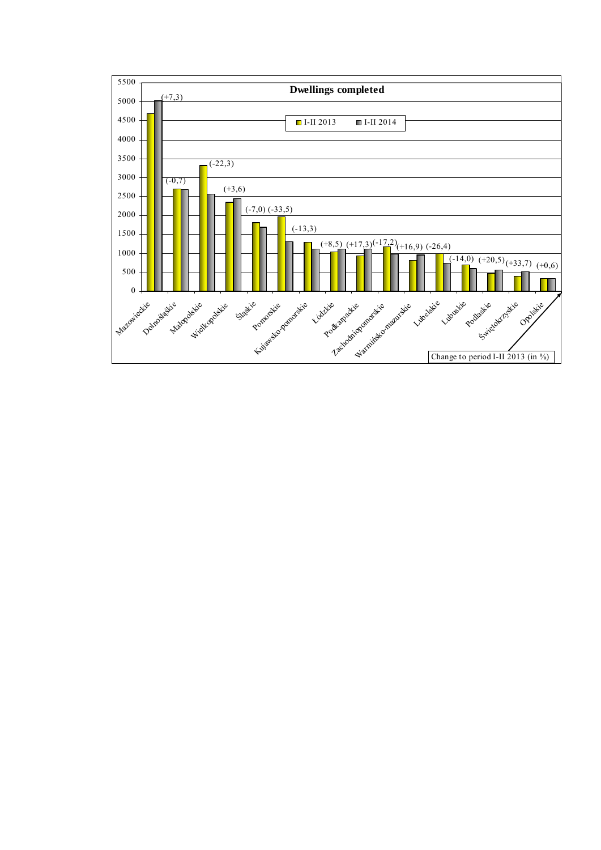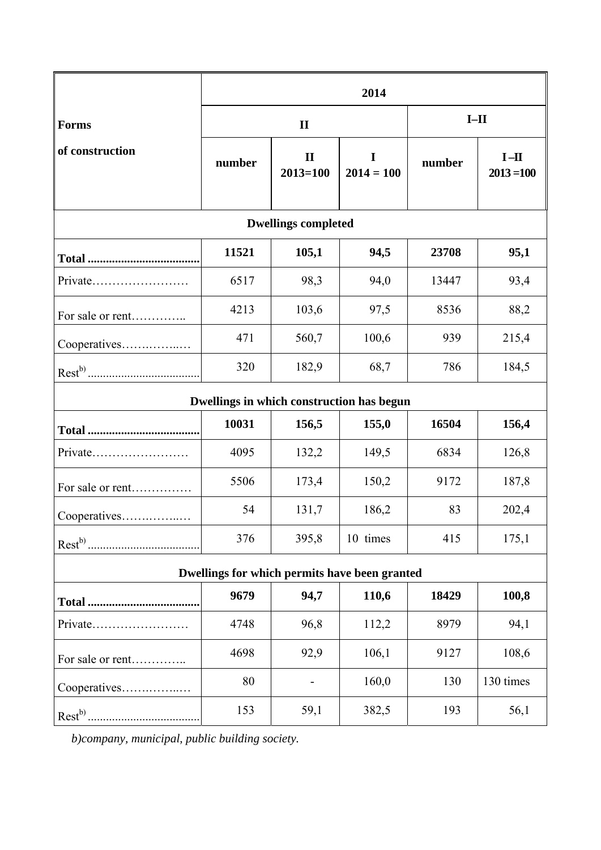|                                               | 2014         |                              |                   |        |                        |
|-----------------------------------------------|--------------|------------------------------|-------------------|--------|------------------------|
| <b>Forms</b>                                  | $\mathbf{I}$ |                              |                   | $I-II$ |                        |
| of construction                               | number       | $\mathbf{I}$<br>$2013 = 100$ | I<br>$2014 = 100$ | number | $I-II$<br>$2013 = 100$ |
| <b>Dwellings completed</b>                    |              |                              |                   |        |                        |
|                                               | 11521        | 105,1                        | 94,5              | 23708  | 95,1                   |
|                                               | 6517         | 98,3                         | 94,0              | 13447  | 93,4                   |
| For sale or rent                              | 4213         | 103,6                        | 97,5              | 8536   | 88,2                   |
| Cooperatives                                  | 471          | 560,7                        | 100,6             | 939    | 215,4                  |
|                                               | 320          | 182,9                        | 68,7              | 786    | 184,5                  |
| Dwellings in which construction has begun     |              |                              |                   |        |                        |
|                                               | 10031        | 156,5                        | 155,0             | 16504  | 156,4                  |
| Private                                       | 4095         | 132,2                        | 149,5             | 6834   | 126,8                  |
| For sale or rent                              | 5506         | 173,4                        | 150,2             | 9172   | 187,8                  |
| Cooperatives                                  | 54           | 131,7                        | 186,2             | 83     | 202,4                  |
|                                               | 376          | 395,8                        | 10 times          | 415    | 175,1                  |
| Dwellings for which permits have been granted |              |                              |                   |        |                        |
|                                               | 9679         | 94,7                         | 110,6             | 18429  | 100,8                  |
| Private                                       | 4748         | 96,8                         | 112,2             | 8979   | 94,1                   |
| For sale or rent                              | 4698         | 92,9                         | 106,1             | 9127   | 108,6                  |
| Cooperatives                                  | 80           |                              | 160,0             | 130    | 130 times              |
| $Rest^{b)}$                                   | 153          | 59,1                         | 382,5             | 193    | 56,1                   |

*b)company, municipal, public building society.*